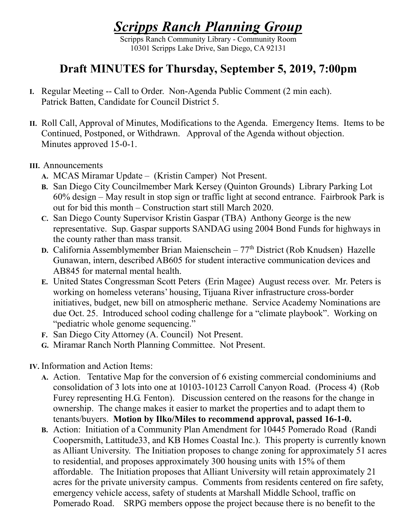## *Scripps Ranch Planning Group*

Scripps Ranch Community Library - Community Room 10301 Scripps Lake Drive, San Diego, CA 92131

## **Draft MINUTES for Thursday, September 5, 2019, 7:00pm**

- **I.** Regular Meeting -- Call to Order. Non-Agenda Public Comment (2 min each). Patrick Batten, Candidate for Council District 5.
- **II.** Roll Call, Approval of Minutes, Modifications to the Agenda. Emergency Items. Items to be Continued, Postponed, or Withdrawn. Approval of the Agenda without objection. Minutes approved 15-0-1.

## **III.** Announcements

- **A.** MCAS Miramar Update (Kristin Camper) Not Present.
- **B.** San Diego City Councilmember Mark Kersey (Quinton Grounds) Library Parking Lot 60% design – May result in stop sign or traffic light at second entrance. Fairbrook Park is out for bid this month – Construction start still March 2020.
- **C.** San Diego County Supervisor Kristin Gaspar (TBA) Anthony George is the new representative. Sup. Gaspar supports SANDAG using 2004 Bond Funds for highways in the county rather than mass transit.
- **D.** California Assemblymember Brian Maienschein 77<sup>th</sup> District (Rob Knudsen) Hazelle Gunawan, intern, described AB605 for student interactive communication devices and AB845 for maternal mental health.
- **E.** United States Congressman Scott Peters (Erin Magee) August recess over. Mr. Peters is working on homeless veterans' housing, Tijuana River infrastructure cross-border initiatives, budget, new bill on atmospheric methane. Service Academy Nominations are due Oct. 25. Introduced school coding challenge for a "climate playbook". Working on "pediatric whole genome sequencing."
- **F.** San Diego City Attorney (A. Council) Not Present.
- **G.** Miramar Ranch North Planning Committee. Not Present.
- **IV.** Information and Action Items:
	- **A.** Action. Tentative Map for the conversion of 6 existing commercial condominiums and consolidation of 3 lots into one at 10103-10123 Carroll Canyon Road. (Process 4) (Rob Furey representing H.G. Fenton). Discussion centered on the reasons for the change in ownership. The change makes it easier to market the properties and to adapt them to tenants/buyers. **Motion by Ilko/Miles to recommend approval, passed 16-1-0.**
	- **B.** Action: Initiation of a Community Plan Amendment for 10445 Pomerado Road (Randi Coopersmith, Lattitude33, and KB Homes Coastal Inc.). This property is currently known as Alliant University. The Initiation proposes to change zoning for approximately 51 acres to residential, and proposes approximately 300 housing units with 15% of them affordable. The Initiation proposes that Alliant University will retain approximately 21 acres for the private university campus. Comments from residents centered on fire safety, emergency vehicle access, safety of students at Marshall Middle School, traffic on Pomerado Road. SRPG members oppose the project because there is no benefit to the